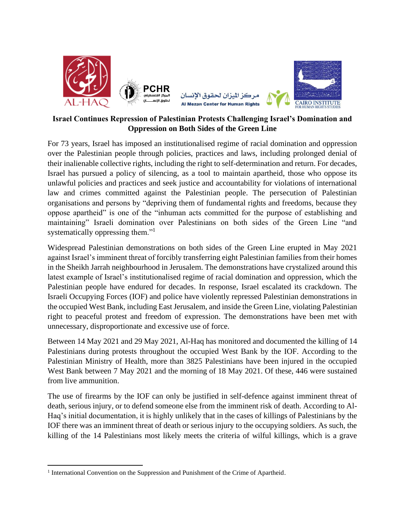

## **Israel Continues Repression of Palestinian Protests Challenging Israel's Domination and Oppression on Both Sides of the Green Line**

For 73 years, Israel has imposed an institutionalised regime of racial domination and oppression over the Palestinian people through policies, practices and laws, including prolonged denial of their inalienable collective rights, including the right to self-determination and return. For decades, Israel has pursued a policy of silencing, as a tool to maintain apartheid, those who oppose its unlawful policies and practices and seek justice and accountability for violations of international law and crimes committed against the Palestinian people. The persecution of Palestinian organisations and persons by "depriving them of fundamental rights and freedoms, because they oppose apartheid" is one of the "inhuman acts committed for the purpose of establishing and maintaining" Israeli domination over Palestinians on both sides of the Green Line "and systematically oppressing them."<sup>1</sup>

Widespread Palestinian demonstrations on both sides of the Green Line erupted in May 2021 against Israel's imminent threat of forcibly transferring eight Palestinian families from their homes in the Sheikh Jarrah neighbourhood in Jerusalem. The demonstrations have crystalized around this latest example of Israel's institutionalised regime of racial domination and oppression, which the Palestinian people have endured for decades. In response, Israel escalated its crackdown. The Israeli Occupying Forces (IOF) and police have violently repressed Palestinian demonstrations in the occupied West Bank, including East Jerusalem, and inside the Green Line, violating Palestinian right to peaceful protest and freedom of expression. The demonstrations have been met with unnecessary, disproportionate and excessive use of force.

Between 14 May 2021 and 29 May 2021, Al-Haq has monitored and documented the killing of 14 Palestinians during protests throughout the occupied West Bank by the IOF. According to the Palestinian Ministry of Health, more than 3825 Palestinians have been injured in the occupied West Bank between 7 May 2021 and the morning of 18 May 2021. Of these, 446 were sustained from live ammunition.

The use of firearms by the IOF can only be justified in self-defence against imminent threat of death, serious injury, or to defend someone else from the imminent risk of death. According to Al-Haq's initial documentation, it is highly unlikely that in the cases of killings of Palestinians by the IOF there was an imminent threat of death or serious injury to the occupying soldiers. As such, the killing of the 14 Palestinians most likely meets the criteria of wilful killings, which is a grave

<sup>&</sup>lt;sup>1</sup> International Convention on the Suppression and Punishment of the Crime of Apartheid.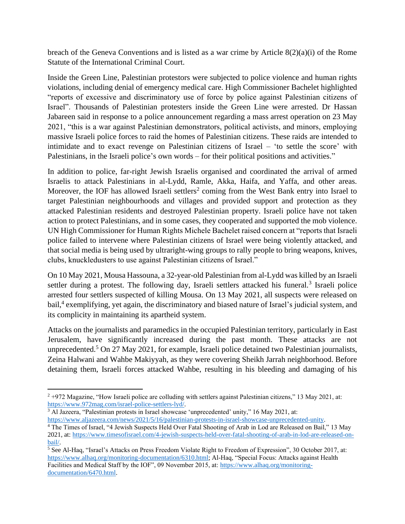breach of the Geneva Conventions and is listed as a war crime by Article 8(2)(a)(i) of the Rome Statute of the International Criminal Court.

Inside the Green Line, Palestinian protestors were subjected to police violence and human rights violations, including denial of emergency medical care. High Commissioner Bachelet highlighted "reports of excessive and discriminatory use of force by police against Palestinian citizens of Israel". Thousands of Palestinian protesters inside the Green Line were arrested. Dr Hassan Jabareen said in response to a police announcement regarding a mass arrest operation on 23 May 2021, "this is a war against Palestinian demonstrators, political activists, and minors, employing massive Israeli police forces to raid the homes of Palestinian citizens. These raids are intended to intimidate and to exact revenge on Palestinian citizens of Israel – 'to settle the score' with Palestinians, in the Israeli police's own words – for their political positions and activities."

In addition to police, far-right Jewish Israelis organised and coordinated the arrival of armed Israelis to attack Palestinians in al-Lydd, Ramle, Akka, Haifa, and Yaffa, and other areas. Moreover, the IOF has allowed Israeli settlers<sup>2</sup> coming from the West Bank entry into Israel to target Palestinian neighbourhoods and villages and provided support and protection as they attacked Palestinian residents and destroyed Palestinian property. Israeli police have not taken action to protect Palestinians, and in some cases, they cooperated and supported the mob violence. UN High Commissioner for Human Rights Michele Bachelet raised concern at "reports that Israeli police failed to intervene where Palestinian citizens of Israel were being violently attacked, and that social media is being used by ultraright-wing groups to rally people to bring weapons, knives, clubs, knuckledusters to use against Palestinian citizens of Israel."

On 10 May 2021, Mousa Hassouna, a 32-year-old Palestinian from al-Lydd was killed by an Israeli settler during a protest. The following day, Israeli settlers attacked his funeral.<sup>3</sup> Israeli police arrested four settlers suspected of killing Mousa. On 13 May 2021, all suspects were released on bail,<sup>4</sup> exemplifying, yet again, the discriminatory and biased nature of Israel's judicial system, and its complicity in maintaining its apartheid system.

Attacks on the journalists and paramedics in the occupied Palestinian territory, particularly in East Jerusalem, have significantly increased during the past month. These attacks are not unprecedented.<sup>5</sup> On 27 May 2021, for example, Israeli police detained two Palestinian journalists, Zeina Halwani and Wahbe Makiyyah, as they were covering Sheikh Jarrah neighborhood. Before detaining them, Israeli forces attacked Wahbe, resulting in his bleeding and damaging of his

<sup>3</sup> Al Jazeera, "Palestinian protests in Israel showcase 'unprecedented' unity," 16 May 2021, at: [https://www.aljazeera.com/news/2021/5/16/palestinian-protests-in-israel-showcase-unprecedented-unity.](https://www.aljazeera.com/news/2021/5/16/palestinian-protests-in-israel-showcase-unprecedented-unity)

 $2 + 972$  Magazine, "How Israeli police are colluding with settlers against Palestinian citizens," 13 May 2021, at: [https://www.972mag.com/israel-police-settlers-lyd/.](https://www.972mag.com/israel-police-settlers-lyd/)

<sup>4</sup> The Times of Israel, "4 Jewish Suspects Held Over Fatal Shooting of Arab in Lod are Released on Bail," 13 May 2021, at[: https://www.timesofisrael.com/4-jewish-suspects-held-over-fatal-shooting-of-arab-in-lod-are-released-on](https://www.timesofisrael.com/4-jewish-suspects-held-over-fatal-shooting-of-arab-in-lod-are-released-on-bail/)[bail/.](https://www.timesofisrael.com/4-jewish-suspects-held-over-fatal-shooting-of-arab-in-lod-are-released-on-bail/)

 $\frac{1}{5}$  See Al-Haq, "Israel's Attacks on Press Freedom Violate Right to Freedom of Expression", 30 October 2017, at: [https://www.alhaq.org/monitoring-documentation/6310.html;](https://www.alhaq.org/monitoring-documentation/6310.html) Al-Haq, "Special Focus: Attacks against Health Facilities and Medical Staff by the IOF", 09 November 2015, at: [https://www.alhaq.org/monitoring](https://www.alhaq.org/monitoring-documentation/6470.html)[documentation/6470.html.](https://www.alhaq.org/monitoring-documentation/6470.html)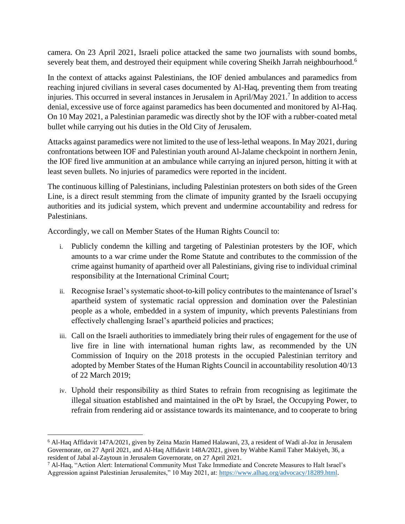camera. On 23 April 2021, Israeli police attacked the same two journalists with sound bombs, severely beat them, and destroyed their equipment while covering Sheikh Jarrah neighbourhood.<sup>6</sup>

In the context of attacks against Palestinians, the IOF denied ambulances and paramedics from reaching injured civilians in several cases documented by Al-Haq, preventing them from treating injuries. This occurred in several instances in Jerusalem in April/May 2021.<sup>7</sup> In addition to access denial, excessive use of force against paramedics has been documented and monitored by Al-Haq. On 10 May 2021, a Palestinian paramedic was directly shot by the IOF with a rubber-coated metal bullet while carrying out his duties in the Old City of Jerusalem.

Attacks against paramedics were not limited to the use of less-lethal weapons. In May 2021, during confrontations between IOF and Palestinian youth around Al-Jalame checkpoint in northern Jenin, the IOF fired live ammunition at an ambulance while carrying an injured person, hitting it with at least seven bullets. No injuries of paramedics were reported in the incident.

The continuous killing of Palestinians, including Palestinian protesters on both sides of the Green Line, is a direct result stemming from the climate of impunity granted by the Israeli occupying authorities and its judicial system, which prevent and undermine accountability and redress for Palestinians.

Accordingly, we call on Member States of the Human Rights Council to:

- i. Publicly condemn the killing and targeting of Palestinian protesters by the IOF, which amounts to a war crime under the Rome Statute and contributes to the commission of the crime against humanity of apartheid over all Palestinians, giving rise to individual criminal responsibility at the International Criminal Court;
- ii. Recognise Israel's systematic shoot-to-kill policy contributes to the maintenance of Israel's apartheid system of systematic racial oppression and domination over the Palestinian people as a whole, embedded in a system of impunity, which prevents Palestinians from effectively challenging Israel's apartheid policies and practices;
- iii. Call on the Israeli authorities to immediately bring their rules of engagement for the use of live fire in line with international human rights law, as recommended by the UN Commission of Inquiry on the 2018 protests in the occupied Palestinian territory and adopted by Member States of the Human Rights Council in accountability resolution 40/13 of 22 March 2019;
- iv. Uphold their responsibility as third States to refrain from recognising as legitimate the illegal situation established and maintained in the oPt by Israel, the Occupying Power, to refrain from rendering aid or assistance towards its maintenance, and to cooperate to bring

<sup>6</sup> Al-Haq Affidavit 147A/2021, given by Zeina Mazin Hamed Halawani, 23, a resident of Wadi al-Joz in Jerusalem Governorate, on 27 April 2021, and Al-Haq Affidavit 148A/2021, given by Wahbe Kamil Taher Makiyeh, 36, a resident of Jabal al-Zaytoun in Jerusalem Governorate, on 27 April 2021.

<sup>&</sup>lt;sup>7</sup> Al-Haq, "Action Alert: International Community Must Take Immediate and Concrete Measures to Halt Israel's Aggression against Palestinian Jerusalemites," 10 May 2021, at: [https://www.alhaq.org/advocacy/18289.html.](https://www.alhaq.org/advocacy/18289.html)